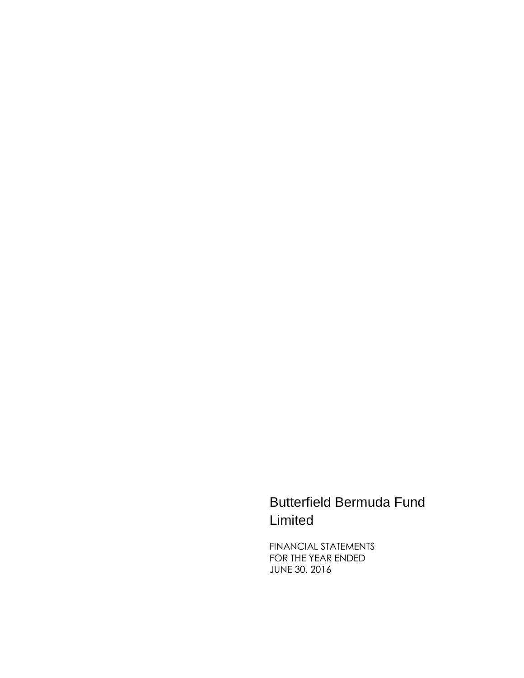# Butterfield Bermuda Fund Limited

FINANCIAL STATEMENTS FOR THE YEAR ENDED JUNE 30, 2016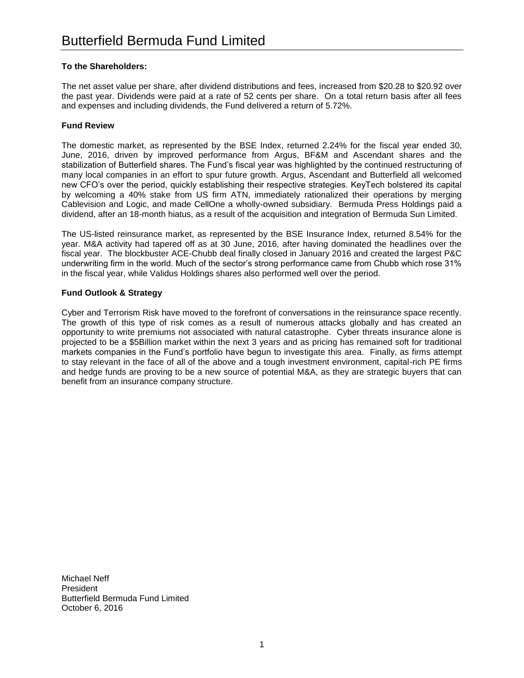### **To the Shareholders:**

The net asset value per share, after dividend distributions and fees, increased from \$20.28 to \$20.92 over the past year. Dividends were paid at a rate of 52 cents per share. On a total return basis after all fees and expenses and including dividends, the Fund delivered a return of 5.72%.

### **Fund Review**

The domestic market, as represented by the BSE Index, returned 2.24% for the fiscal year ended 30, June, 2016, driven by improved performance from Argus, BF&M and Ascendant shares and the stabilization of Butterfield shares. The Fund's fiscal year was highlighted by the continued restructuring of many local companies in an effort to spur future growth. Argus, Ascendant and Butterfield all welcomed new CFO's over the period, quickly establishing their respective strategies. KeyTech bolstered its capital by welcoming a 40% stake from US firm ATN, immediately rationalized their operations by merging Cablevision and Logic, and made CellOne a wholly-owned subsidiary. Bermuda Press Holdings paid a dividend, after an 18-month hiatus, as a result of the acquisition and integration of Bermuda Sun Limited.

The US-listed reinsurance market, as represented by the BSE Insurance Index, returned 8.54% for the year. M&A activity had tapered off as at 30 June, 2016, after having dominated the headlines over the fiscal year. The blockbuster ACE-Chubb deal finally closed in January 2016 and created the largest P&C underwriting firm in the world. Much of the sector's strong performance came from Chubb which rose 31% in the fiscal year, while Validus Holdings shares also performed well over the period.

#### **Fund Outlook & Strategy**

Cyber and Terrorism Risk have moved to the forefront of conversations in the reinsurance space recently. The growth of this type of risk comes as a result of numerous attacks globally and has created an opportunity to write premiums not associated with natural catastrophe. Cyber threats insurance alone is projected to be a \$5Billion market within the next 3 years and as pricing has remained soft for traditional markets companies in the Fund's portfolio have begun to investigate this area. Finally, as firms attempt to stay relevant in the face of all of the above and a tough investment environment, capital-rich PE firms and hedge funds are proving to be a new source of potential M&A, as they are strategic buyers that can benefit from an insurance company structure.

Michael Neff President Butterfield Bermuda Fund Limited October 6, 2016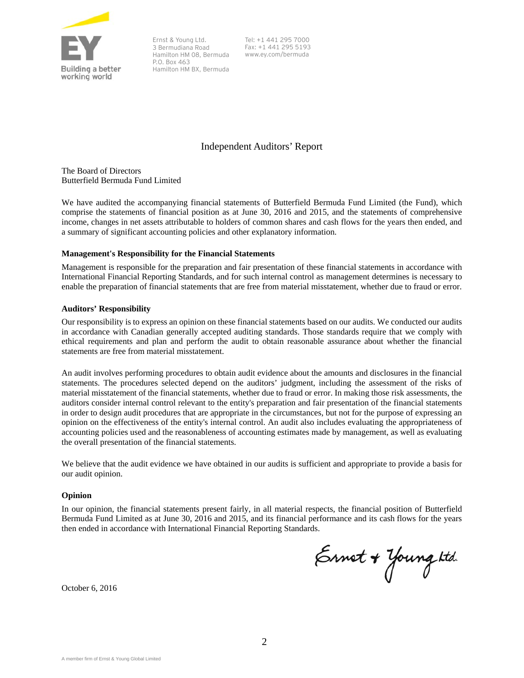

Ernst & Young Ltd. 3 Bermudiana Road Hamilton HM 08, Bermuda P.O. Box 463 Hamilton HM BX, Bermuda Tel: +1 441 295 7000 Fax: +1 441 295 5193 www.ey.com/bermuda

## Independent Auditors' Report

The Board of Directors Butterfield Bermuda Fund Limited

We have audited the accompanying financial statements of Butterfield Bermuda Fund Limited (the Fund), which comprise the statements of financial position as at June 30, 2016 and 2015, and the statements of comprehensive income, changes in net assets attributable to holders of common shares and cash flows for the years then ended, and a summary of significant accounting policies and other explanatory information.

#### **Management's Responsibility for the Financial Statements**

Management is responsible for the preparation and fair presentation of these financial statements in accordance with International Financial Reporting Standards, and for such internal control as management determines is necessary to enable the preparation of financial statements that are free from material misstatement, whether due to fraud or error.

#### **Auditors' Responsibility**

Our responsibility is to express an opinion on these financial statements based on our audits. We conducted our audits in accordance with Canadian generally accepted auditing standards. Those standards require that we comply with ethical requirements and plan and perform the audit to obtain reasonable assurance about whether the financial statements are free from material misstatement.

An audit involves performing procedures to obtain audit evidence about the amounts and disclosures in the financial statements. The procedures selected depend on the auditors' judgment, including the assessment of the risks of material misstatement of the financial statements, whether due to fraud or error. In making those risk assessments, the auditors consider internal control relevant to the entity's preparation and fair presentation of the financial statements in order to design audit procedures that are appropriate in the circumstances, but not for the purpose of expressing an opinion on the effectiveness of the entity's internal control. An audit also includes evaluating the appropriateness of accounting policies used and the reasonableness of accounting estimates made by management, as well as evaluating the overall presentation of the financial statements.

We believe that the audit evidence we have obtained in our audits is sufficient and appropriate to provide a basis for our audit opinion.

#### **Opinion**

In our opinion, the financial statements present fairly, in all material respects, the financial position of Butterfield Bermuda Fund Limited as at June 30, 2016 and 2015, and its financial performance and its cash flows for the years then ended in accordance with International Financial Reporting Standards.

Ernet + Young Atd.

October 6, 2016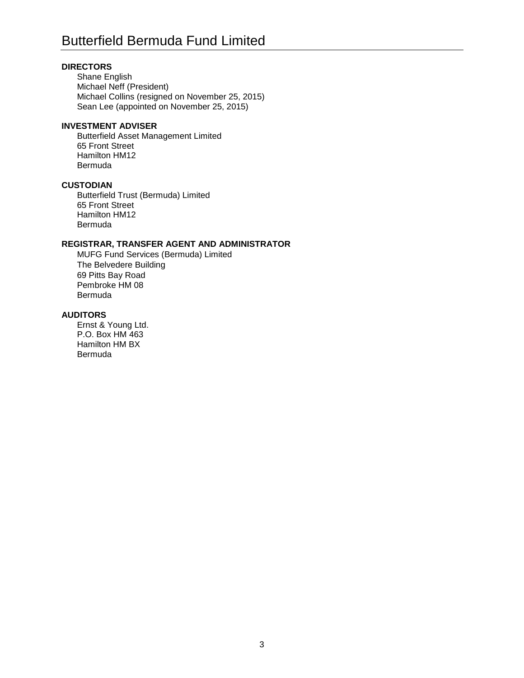## **DIRECTORS**

Shane English Michael Neff (President) Michael Collins (resigned on November 25, 2015) Sean Lee (appointed on November 25, 2015)

#### **INVESTMENT ADVISER**

Butterfield Asset Management Limited 65 Front Street Hamilton HM12 Bermuda

## **CUSTODIAN**

Butterfield Trust (Bermuda) Limited 65 Front Street Hamilton HM12 Bermuda

## **REGISTRAR, TRANSFER AGENT AND ADMINISTRATOR**

MUFG Fund Services (Bermuda) Limited The Belvedere Building 69 Pitts Bay Road Pembroke HM 08 Bermuda

#### **AUDITORS**

Ernst & Young Ltd. P.O. Box HM 463 Hamilton HM BX Bermuda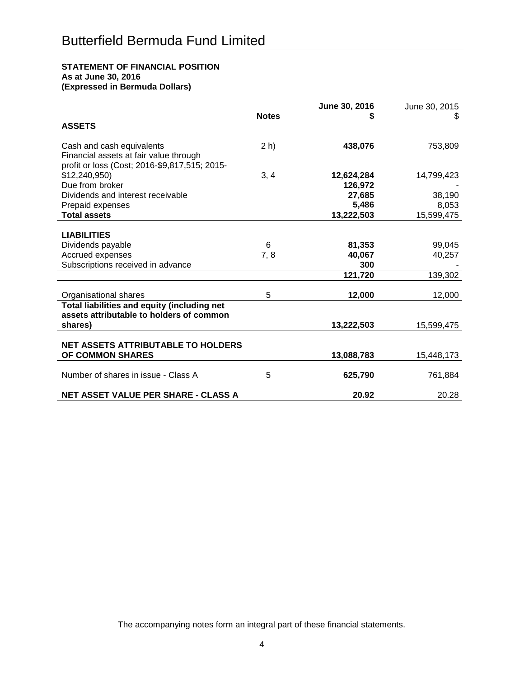## **STATEMENT OF FINANCIAL POSITION As at June 30, 2016**

**(Expressed in Bermuda Dollars)** 

|                                                                                                                      | <b>Notes</b> | June 30, 2016 | June 30, 2015 |
|----------------------------------------------------------------------------------------------------------------------|--------------|---------------|---------------|
| <b>ASSETS</b>                                                                                                        |              |               | S             |
| Cash and cash equivalents<br>Financial assets at fair value through<br>profit or loss (Cost; 2016-\$9,817,515; 2015- | $2h$ )       | 438,076       | 753,809       |
| \$12,240,950)                                                                                                        | 3, 4         | 12,624,284    | 14,799,423    |
| Due from broker                                                                                                      |              | 126,972       |               |
| Dividends and interest receivable                                                                                    |              | 27,685        | 38,190        |
| Prepaid expenses                                                                                                     |              | 5,486         | 8,053         |
| <b>Total assets</b>                                                                                                  |              | 13,222,503    | 15,599,475    |
| <b>LIABILITIES</b>                                                                                                   |              |               |               |
| Dividends payable                                                                                                    | 6            | 81,353        | 99,045        |
| Accrued expenses                                                                                                     | 7, 8         | 40,067        | 40,257        |
| Subscriptions received in advance                                                                                    |              | 300           |               |
|                                                                                                                      |              | 121,720       | 139,302       |
| Organisational shares                                                                                                | 5            | 12,000        | 12,000        |
| Total liabilities and equity (including net<br>assets attributable to holders of common                              |              |               |               |
| shares)                                                                                                              |              | 13,222,503    | 15,599,475    |
| <b>NET ASSETS ATTRIBUTABLE TO HOLDERS</b>                                                                            |              |               |               |
| OF COMMON SHARES                                                                                                     |              | 13,088,783    | 15,448,173    |
| Number of shares in issue - Class A                                                                                  | 5            | 625,790       | 761,884       |
|                                                                                                                      |              |               |               |
| <b>NET ASSET VALUE PER SHARE - CLASS A</b>                                                                           |              | 20.92         | 20.28         |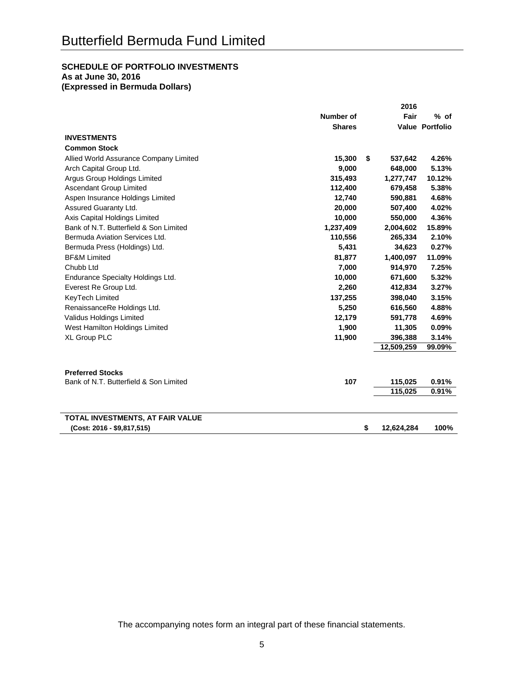#### **SCHEDULE OF PORTFOLIO INVESTMENTS As at June 30, 2016 (Expressed in Bermuda Dollars)**

|                                        |               | 2016             |                 |
|----------------------------------------|---------------|------------------|-----------------|
|                                        | Number of     | Fair             | $%$ of          |
|                                        | <b>Shares</b> |                  | Value Portfolio |
| <b>INVESTMENTS</b>                     |               |                  |                 |
| <b>Common Stock</b>                    |               |                  |                 |
| Allied World Assurance Company Limited | 15,300        | \$<br>537,642    | 4.26%           |
| Arch Capital Group Ltd.                | 9.000         | 648,000          | 5.13%           |
| Argus Group Holdings Limited           | 315,493       | 1,277,747        | 10.12%          |
| <b>Ascendant Group Limited</b>         | 112,400       | 679,458          | 5.38%           |
| Aspen Insurance Holdings Limited       | 12,740        | 590,881          | 4.68%           |
| Assured Guaranty Ltd.                  | 20,000        | 507,400          | 4.02%           |
| Axis Capital Holdings Limited          | 10,000        | 550,000          | 4.36%           |
| Bank of N.T. Butterfield & Son Limited | 1,237,409     | 2,004,602        | 15.89%          |
| Bermuda Aviation Services Ltd.         | 110,556       | 265,334          | 2.10%           |
| Bermuda Press (Holdings) Ltd.          | 5,431         | 34,623           | 0.27%           |
| <b>BF&amp;M Limited</b>                | 81,877        | 1,400,097        | 11.09%          |
| Chubb Ltd                              | 7,000         | 914,970          | 7.25%           |
| Endurance Specialty Holdings Ltd.      | 10,000        | 671,600          | 5.32%           |
| Everest Re Group Ltd.                  | 2,260         | 412,834          | 3.27%           |
| KeyTech Limited                        | 137,255       | 398,040          | 3.15%           |
| RenaissanceRe Holdings Ltd.            | 5,250         | 616,560          | 4.88%           |
| Validus Holdings Limited               | 12,179        | 591,778          | 4.69%           |
| West Hamilton Holdings Limited         | 1,900         | 11,305           | 0.09%           |
| XL Group PLC                           | 11,900        | 396,388          | 3.14%           |
|                                        |               | 12,509,259       | 99.09%          |
|                                        |               |                  |                 |
| <b>Preferred Stocks</b>                |               |                  |                 |
| Bank of N.T. Butterfield & Son Limited | 107           | 115,025          | 0.91%           |
|                                        |               | 115,025          | 0.91%           |
|                                        |               |                  |                 |
| TOTAL INVESTMENTS, AT FAIR VALUE       |               |                  |                 |
| (Cost: 2016 - \$9,817,515)             |               | \$<br>12,624,284 | 100%            |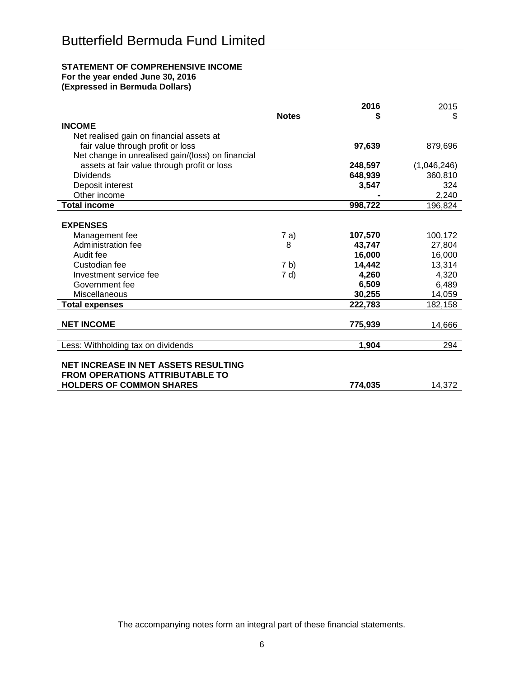#### **STATEMENT OF COMPREHENSIVE INCOME For the year ended June 30, 2016**

**(Expressed in Bermuda Dollars)** 

|                                                   |              | 2016    | 2015        |
|---------------------------------------------------|--------------|---------|-------------|
|                                                   | <b>Notes</b> | S       | \$          |
| <b>INCOME</b>                                     |              |         |             |
| Net realised gain on financial assets at          |              |         |             |
| fair value through profit or loss                 |              | 97,639  | 879,696     |
| Net change in unrealised gain/(loss) on financial |              |         |             |
| assets at fair value through profit or loss       |              | 248,597 | (1,046,246) |
| <b>Dividends</b>                                  |              | 648,939 | 360,810     |
| Deposit interest                                  |              | 3,547   | 324         |
| Other income                                      |              |         | 2,240       |
| <b>Total income</b>                               |              | 998,722 | 196,824     |
|                                                   |              |         |             |
| <b>EXPENSES</b>                                   |              |         |             |
| Management fee                                    | 7a)          | 107,570 | 100,172     |
| Administration fee                                | 8            | 43,747  | 27,804      |
| Audit fee                                         |              | 16,000  | 16,000      |
| Custodian fee                                     | 7 b)         | 14,442  | 13,314      |
| Investment service fee                            | 7 d)         | 4,260   | 4,320       |
| Government fee                                    |              | 6,509   | 6,489       |
| Miscellaneous                                     |              | 30,255  | 14,059      |
| <b>Total expenses</b>                             |              | 222,783 | 182,158     |
|                                                   |              |         |             |
| <b>NET INCOME</b>                                 |              | 775,939 | 14,666      |
|                                                   |              |         |             |
| Less: Withholding tax on dividends                |              | 1,904   | 294         |
|                                                   |              |         |             |
| <b>NET INCREASE IN NET ASSETS RESULTING</b>       |              |         |             |
| <b>FROM OPERATIONS ATTRIBUTABLE TO</b>            |              |         |             |
| <b>HOLDERS OF COMMON SHARES</b>                   |              | 774,035 | 14,372      |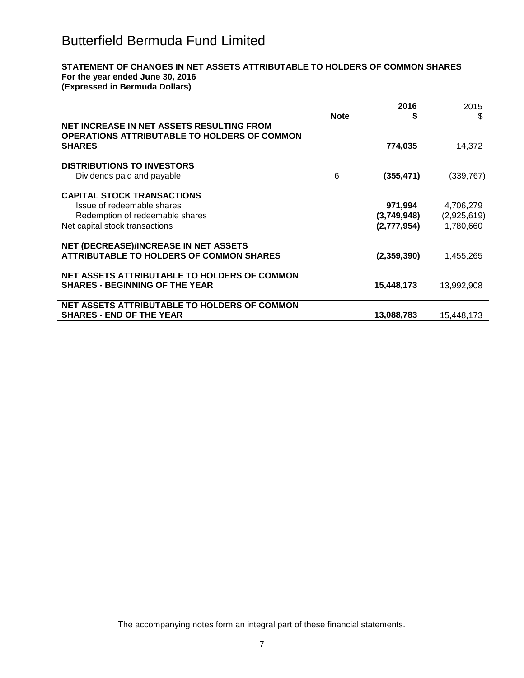## **STATEMENT OF CHANGES IN NET ASSETS ATTRIBUTABLE TO HOLDERS OF COMMON SHARES For the year ended June 30, 2016**

**(Expressed in Bermuda Dollars)**

| <b>Note</b><br>\$<br>S<br>NET INCREASE IN NET ASSETS RESULTING FROM<br><b>OPERATIONS ATTRIBUTABLE TO HOLDERS OF COMMON</b><br><b>SHARES</b><br>774,035<br>14,372<br><b>DISTRIBUTIONS TO INVESTORS</b><br>6<br>Dividends paid and payable<br>(355, 471)<br>(339,767)<br><b>CAPITAL STOCK TRANSACTIONS</b><br>Issue of redeemable shares<br>971,994<br>4,706,279<br>Redemption of redeemable shares<br>(2,925,619)<br>(3,749,948)<br>Net capital stock transactions<br>(2,777,954)<br>1,780,660<br>NET (DECREASE)/INCREASE IN NET ASSETS<br><b>ATTRIBUTABLE TO HOLDERS OF COMMON SHARES</b><br>(2,359,390)<br>1,455,265<br>NET ASSETS ATTRIBUTABLE TO HOLDERS OF COMMON<br><b>SHARES - BEGINNING OF THE YEAR</b><br>15,448,173<br>13,992,908<br>NET ASSETS ATTRIBUTABLE TO HOLDERS OF COMMON<br><b>SHARES - END OF THE YEAR</b><br>13,088,783<br>15,448,173 |  | 2016 | 2015 |
|-----------------------------------------------------------------------------------------------------------------------------------------------------------------------------------------------------------------------------------------------------------------------------------------------------------------------------------------------------------------------------------------------------------------------------------------------------------------------------------------------------------------------------------------------------------------------------------------------------------------------------------------------------------------------------------------------------------------------------------------------------------------------------------------------------------------------------------------------------------|--|------|------|
|                                                                                                                                                                                                                                                                                                                                                                                                                                                                                                                                                                                                                                                                                                                                                                                                                                                           |  |      |      |
|                                                                                                                                                                                                                                                                                                                                                                                                                                                                                                                                                                                                                                                                                                                                                                                                                                                           |  |      |      |
|                                                                                                                                                                                                                                                                                                                                                                                                                                                                                                                                                                                                                                                                                                                                                                                                                                                           |  |      |      |
|                                                                                                                                                                                                                                                                                                                                                                                                                                                                                                                                                                                                                                                                                                                                                                                                                                                           |  |      |      |
|                                                                                                                                                                                                                                                                                                                                                                                                                                                                                                                                                                                                                                                                                                                                                                                                                                                           |  |      |      |
|                                                                                                                                                                                                                                                                                                                                                                                                                                                                                                                                                                                                                                                                                                                                                                                                                                                           |  |      |      |
|                                                                                                                                                                                                                                                                                                                                                                                                                                                                                                                                                                                                                                                                                                                                                                                                                                                           |  |      |      |
|                                                                                                                                                                                                                                                                                                                                                                                                                                                                                                                                                                                                                                                                                                                                                                                                                                                           |  |      |      |
|                                                                                                                                                                                                                                                                                                                                                                                                                                                                                                                                                                                                                                                                                                                                                                                                                                                           |  |      |      |
|                                                                                                                                                                                                                                                                                                                                                                                                                                                                                                                                                                                                                                                                                                                                                                                                                                                           |  |      |      |
|                                                                                                                                                                                                                                                                                                                                                                                                                                                                                                                                                                                                                                                                                                                                                                                                                                                           |  |      |      |
|                                                                                                                                                                                                                                                                                                                                                                                                                                                                                                                                                                                                                                                                                                                                                                                                                                                           |  |      |      |
|                                                                                                                                                                                                                                                                                                                                                                                                                                                                                                                                                                                                                                                                                                                                                                                                                                                           |  |      |      |
|                                                                                                                                                                                                                                                                                                                                                                                                                                                                                                                                                                                                                                                                                                                                                                                                                                                           |  |      |      |
|                                                                                                                                                                                                                                                                                                                                                                                                                                                                                                                                                                                                                                                                                                                                                                                                                                                           |  |      |      |
|                                                                                                                                                                                                                                                                                                                                                                                                                                                                                                                                                                                                                                                                                                                                                                                                                                                           |  |      |      |
|                                                                                                                                                                                                                                                                                                                                                                                                                                                                                                                                                                                                                                                                                                                                                                                                                                                           |  |      |      |
|                                                                                                                                                                                                                                                                                                                                                                                                                                                                                                                                                                                                                                                                                                                                                                                                                                                           |  |      |      |
|                                                                                                                                                                                                                                                                                                                                                                                                                                                                                                                                                                                                                                                                                                                                                                                                                                                           |  |      |      |
|                                                                                                                                                                                                                                                                                                                                                                                                                                                                                                                                                                                                                                                                                                                                                                                                                                                           |  |      |      |
|                                                                                                                                                                                                                                                                                                                                                                                                                                                                                                                                                                                                                                                                                                                                                                                                                                                           |  |      |      |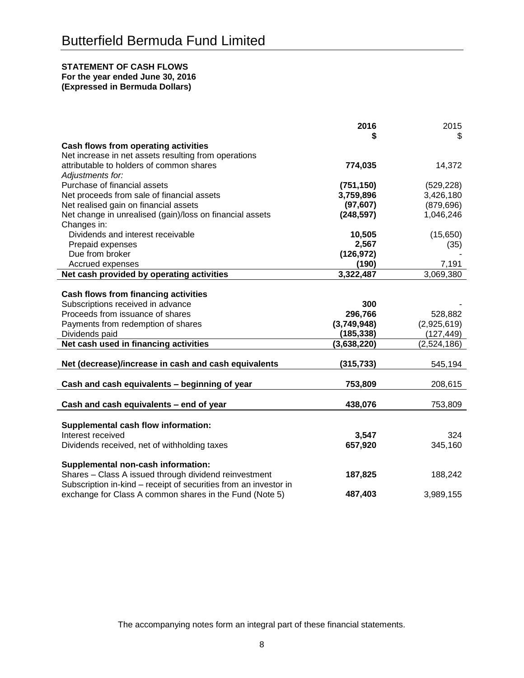## **STATEMENT OF CASH FLOWS**

## **For the year ended June 30, 2016**

**(Expressed in Bermuda Dollars)**

|                                                                  | 2016        | 2015        |
|------------------------------------------------------------------|-------------|-------------|
|                                                                  |             | \$          |
| Cash flows from operating activities                             |             |             |
| Net increase in net assets resulting from operations             |             |             |
| attributable to holders of common shares                         | 774,035     | 14,372      |
| Adjustments for:                                                 |             |             |
| Purchase of financial assets                                     | (751, 150)  | (529, 228)  |
| Net proceeds from sale of financial assets                       | 3,759,896   | 3,426,180   |
| Net realised gain on financial assets                            | (97, 607)   | (879, 696)  |
| Net change in unrealised (gain)/loss on financial assets         | (248, 597)  | 1,046,246   |
| Changes in:                                                      |             |             |
| Dividends and interest receivable                                | 10,505      |             |
|                                                                  |             | (15,650)    |
| Prepaid expenses                                                 | 2,567       | (35)        |
| Due from broker                                                  | (126, 972)  |             |
| Accrued expenses                                                 | (190)       | 7,191       |
| Net cash provided by operating activities                        | 3,322,487   | 3,069,380   |
|                                                                  |             |             |
| Cash flows from financing activities                             |             |             |
| Subscriptions received in advance                                | 300         |             |
| Proceeds from issuance of shares                                 | 296,766     | 528,882     |
| Payments from redemption of shares                               | (3,749,948) | (2,925,619) |
| Dividends paid                                                   | (185, 338)  | (127,449)   |
| Net cash used in financing activities                            | (3,638,220) | (2,524,186) |
|                                                                  |             |             |
| Net (decrease)/increase in cash and cash equivalents             | (315, 733)  | 545,194     |
|                                                                  |             |             |
| Cash and cash equivalents - beginning of year                    | 753,809     | 208,615     |
|                                                                  |             |             |
| Cash and cash equivalents – end of year                          | 438,076     | 753,809     |
|                                                                  |             |             |
|                                                                  |             |             |
| Supplemental cash flow information:                              |             |             |
| Interest received                                                | 3,547       | 324         |
| Dividends received, net of withholding taxes                     | 657,920     | 345,160     |
|                                                                  |             |             |
| Supplemental non-cash information:                               |             |             |
| Shares - Class A issued through dividend reinvestment            | 187,825     | 188,242     |
| Subscription in-kind - receipt of securities from an investor in |             |             |
| exchange for Class A common shares in the Fund (Note 5)          | 487,403     | 3,989,155   |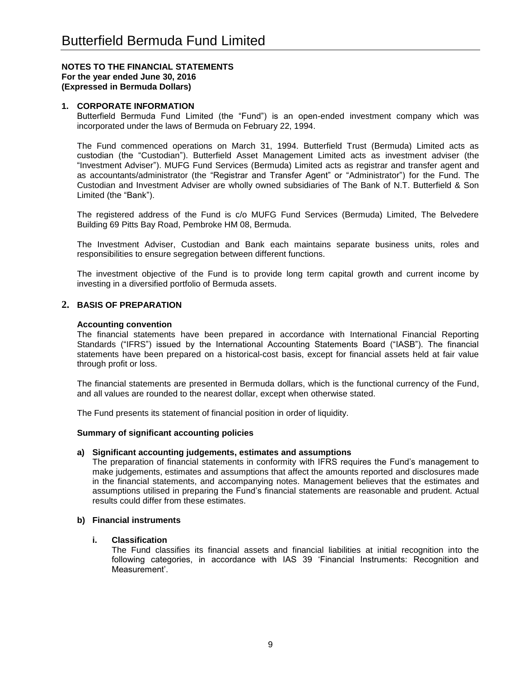#### **1. CORPORATE INFORMATION**

Butterfield Bermuda Fund Limited (the "Fund") is an open-ended investment company which was incorporated under the laws of Bermuda on February 22, 1994.

The Fund commenced operations on March 31, 1994. Butterfield Trust (Bermuda) Limited acts as custodian (the "Custodian"). Butterfield Asset Management Limited acts as investment adviser (the "Investment Adviser"). MUFG Fund Services (Bermuda) Limited acts as registrar and transfer agent and as accountants/administrator (the "Registrar and Transfer Agent" or "Administrator") for the Fund. The Custodian and Investment Adviser are wholly owned subsidiaries of The Bank of N.T. Butterfield & Son Limited (the "Bank").

The registered address of the Fund is c/o MUFG Fund Services (Bermuda) Limited, The Belvedere Building 69 Pitts Bay Road, Pembroke HM 08, Bermuda.

The Investment Adviser, Custodian and Bank each maintains separate business units, roles and responsibilities to ensure segregation between different functions.

The investment objective of the Fund is to provide long term capital growth and current income by investing in a diversified portfolio of Bermuda assets.

## **2. BASIS OF PREPARATION**

#### **Accounting convention**

The financial statements have been prepared in accordance with International Financial Reporting Standards ("IFRS") issued by the International Accounting Statements Board ("IASB"). The financial statements have been prepared on a historical-cost basis, except for financial assets held at fair value through profit or loss.

The financial statements are presented in Bermuda dollars, which is the functional currency of the Fund, and all values are rounded to the nearest dollar, except when otherwise stated.

The Fund presents its statement of financial position in order of liquidity.

#### **Summary of significant accounting policies**

#### **a) Significant accounting judgements, estimates and assumptions**

The preparation of financial statements in conformity with IFRS requires the Fund's management to make judgements, estimates and assumptions that affect the amounts reported and disclosures made in the financial statements, and accompanying notes. Management believes that the estimates and assumptions utilised in preparing the Fund's financial statements are reasonable and prudent. Actual results could differ from these estimates.

#### **b) Financial instruments**

#### **i. Classification**

The Fund classifies its financial assets and financial liabilities at initial recognition into the following categories, in accordance with IAS 39 'Financial Instruments: Recognition and Measurement'.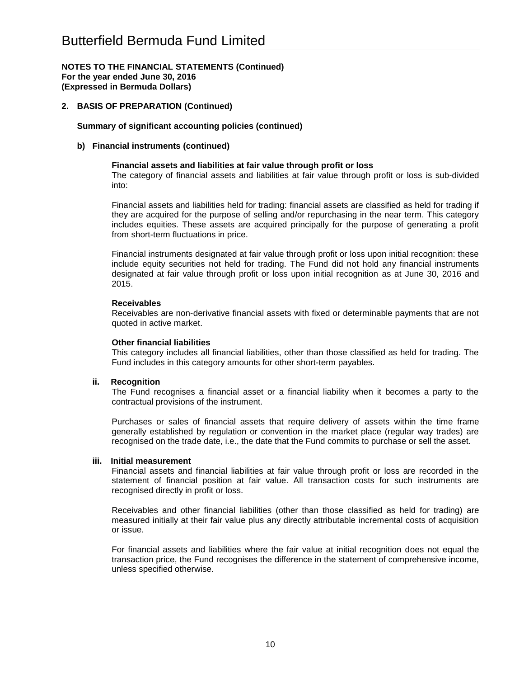#### **2. BASIS OF PREPARATION (Continued)**

#### **Summary of significant accounting policies (continued)**

#### **b) Financial instruments (continued)**

#### **Financial assets and liabilities at fair value through profit or loss**

The category of financial assets and liabilities at fair value through profit or loss is sub-divided into:

Financial assets and liabilities held for trading: financial assets are classified as held for trading if they are acquired for the purpose of selling and/or repurchasing in the near term. This category includes equities. These assets are acquired principally for the purpose of generating a profit from short-term fluctuations in price.

Financial instruments designated at fair value through profit or loss upon initial recognition: these include equity securities not held for trading. The Fund did not hold any financial instruments designated at fair value through profit or loss upon initial recognition as at June 30, 2016 and 2015.

#### **Receivables**

Receivables are non-derivative financial assets with fixed or determinable payments that are not quoted in active market.

#### **Other financial liabilities**

This category includes all financial liabilities, other than those classified as held for trading. The Fund includes in this category amounts for other short-term payables.

#### **ii. Recognition**

The Fund recognises a financial asset or a financial liability when it becomes a party to the contractual provisions of the instrument.

Purchases or sales of financial assets that require delivery of assets within the time frame generally established by regulation or convention in the market place (regular way trades) are recognised on the trade date, i.e., the date that the Fund commits to purchase or sell the asset.

#### **iii. Initial measurement**

Financial assets and financial liabilities at fair value through profit or loss are recorded in the statement of financial position at fair value. All transaction costs for such instruments are recognised directly in profit or loss.

Receivables and other financial liabilities (other than those classified as held for trading) are measured initially at their fair value plus any directly attributable incremental costs of acquisition or issue.

For financial assets and liabilities where the fair value at initial recognition does not equal the transaction price, the Fund recognises the difference in the statement of comprehensive income, unless specified otherwise.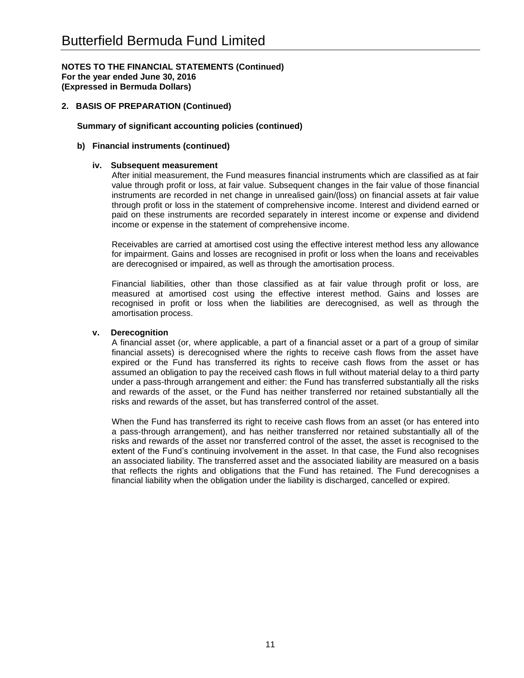#### **2. BASIS OF PREPARATION (Continued)**

#### **Summary of significant accounting policies (continued)**

#### **b) Financial instruments (continued)**

#### **iv. Subsequent measurement**

After initial measurement, the Fund measures financial instruments which are classified as at fair value through profit or loss, at fair value. Subsequent changes in the fair value of those financial instruments are recorded in net change in unrealised gain/(loss) on financial assets at fair value through profit or loss in the statement of comprehensive income. Interest and dividend earned or paid on these instruments are recorded separately in interest income or expense and dividend income or expense in the statement of comprehensive income.

Receivables are carried at amortised cost using the effective interest method less any allowance for impairment. Gains and losses are recognised in profit or loss when the loans and receivables are derecognised or impaired, as well as through the amortisation process.

Financial liabilities, other than those classified as at fair value through profit or loss, are measured at amortised cost using the effective interest method. Gains and losses are recognised in profit or loss when the liabilities are derecognised, as well as through the amortisation process.

#### **v. Derecognition**

A financial asset (or, where applicable, a part of a financial asset or a part of a group of similar financial assets) is derecognised where the rights to receive cash flows from the asset have expired or the Fund has transferred its rights to receive cash flows from the asset or has assumed an obligation to pay the received cash flows in full without material delay to a third party under a pass-through arrangement and either: the Fund has transferred substantially all the risks and rewards of the asset, or the Fund has neither transferred nor retained substantially all the risks and rewards of the asset, but has transferred control of the asset.

When the Fund has transferred its right to receive cash flows from an asset (or has entered into a pass-through arrangement), and has neither transferred nor retained substantially all of the risks and rewards of the asset nor transferred control of the asset, the asset is recognised to the extent of the Fund's continuing involvement in the asset. In that case, the Fund also recognises an associated liability. The transferred asset and the associated liability are measured on a basis that reflects the rights and obligations that the Fund has retained. The Fund derecognises a financial liability when the obligation under the liability is discharged, cancelled or expired.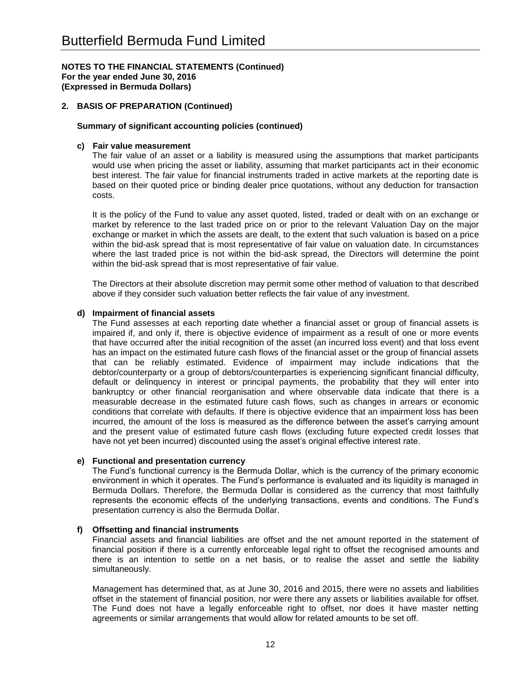#### **2. BASIS OF PREPARATION (Continued)**

#### **Summary of significant accounting policies (continued)**

#### **c) Fair value measurement**

The fair value of an asset or a liability is measured using the assumptions that market participants would use when pricing the asset or liability, assuming that market participants act in their economic best interest. The fair value for financial instruments traded in active markets at the reporting date is based on their quoted price or binding dealer price quotations, without any deduction for transaction costs.

It is the policy of the Fund to value any asset quoted, listed, traded or dealt with on an exchange or market by reference to the last traded price on or prior to the relevant Valuation Day on the major exchange or market in which the assets are dealt, to the extent that such valuation is based on a price within the bid-ask spread that is most representative of fair value on valuation date. In circumstances where the last traded price is not within the bid-ask spread, the Directors will determine the point within the bid-ask spread that is most representative of fair value.

The Directors at their absolute discretion may permit some other method of valuation to that described above if they consider such valuation better reflects the fair value of any investment.

#### **d) Impairment of financial assets**

The Fund assesses at each reporting date whether a financial asset or group of financial assets is impaired if, and only if, there is objective evidence of impairment as a result of one or more events that have occurred after the initial recognition of the asset (an incurred loss event) and that loss event has an impact on the estimated future cash flows of the financial asset or the group of financial assets that can be reliably estimated. Evidence of impairment may include indications that the debtor/counterparty or a group of debtors/counterparties is experiencing significant financial difficulty, default or delinquency in interest or principal payments, the probability that they will enter into bankruptcy or other financial reorganisation and where observable data indicate that there is a measurable decrease in the estimated future cash flows, such as changes in arrears or economic conditions that correlate with defaults. If there is objective evidence that an impairment loss has been incurred, the amount of the loss is measured as the difference between the asset's carrying amount and the present value of estimated future cash flows (excluding future expected credit losses that have not yet been incurred) discounted using the asset's original effective interest rate.

#### **e) Functional and presentation currency**

The Fund's functional currency is the Bermuda Dollar, which is the currency of the primary economic environment in which it operates. The Fund's performance is evaluated and its liquidity is managed in Bermuda Dollars. Therefore, the Bermuda Dollar is considered as the currency that most faithfully represents the economic effects of the underlying transactions, events and conditions. The Fund's presentation currency is also the Bermuda Dollar.

#### **f) Offsetting and financial instruments**

Financial assets and financial liabilities are offset and the net amount reported in the statement of financial position if there is a currently enforceable legal right to offset the recognised amounts and there is an intention to settle on a net basis, or to realise the asset and settle the liability simultaneously.

Management has determined that, as at June 30, 2016 and 2015, there were no assets and liabilities offset in the statement of financial position, nor were there any assets or liabilities available for offset. The Fund does not have a legally enforceable right to offset, nor does it have master netting agreements or similar arrangements that would allow for related amounts to be set off.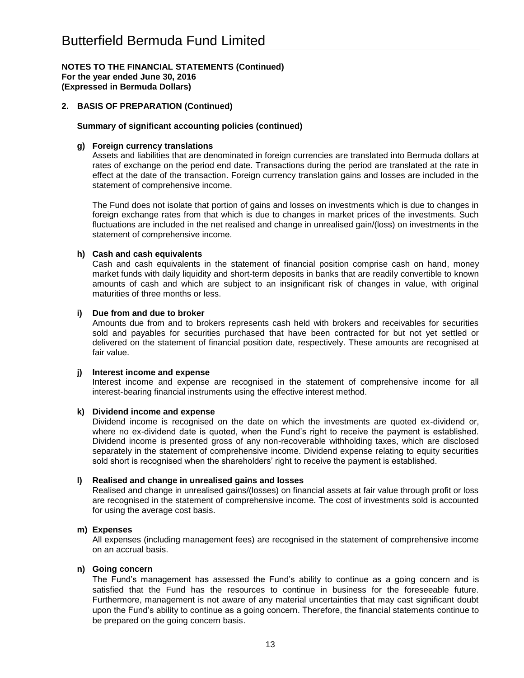#### **2. BASIS OF PREPARATION (Continued)**

#### **Summary of significant accounting policies (continued)**

#### **g) Foreign currency translations**

Assets and liabilities that are denominated in foreign currencies are translated into Bermuda dollars at rates of exchange on the period end date. Transactions during the period are translated at the rate in effect at the date of the transaction. Foreign currency translation gains and losses are included in the statement of comprehensive income.

The Fund does not isolate that portion of gains and losses on investments which is due to changes in foreign exchange rates from that which is due to changes in market prices of the investments. Such fluctuations are included in the net realised and change in unrealised gain/(loss) on investments in the statement of comprehensive income.

#### **h) Cash and cash equivalents**

Cash and cash equivalents in the statement of financial position comprise cash on hand, money market funds with daily liquidity and short-term deposits in banks that are readily convertible to known amounts of cash and which are subject to an insignificant risk of changes in value, with original maturities of three months or less.

#### **i) Due from and due to broker**

Amounts due from and to brokers represents cash held with brokers and receivables for securities sold and payables for securities purchased that have been contracted for but not yet settled or delivered on the statement of financial position date, respectively. These amounts are recognised at fair value.

#### **j) Interest income and expense**

Interest income and expense are recognised in the statement of comprehensive income for all interest-bearing financial instruments using the effective interest method.

#### **k) Dividend income and expense**

Dividend income is recognised on the date on which the investments are quoted ex-dividend or, where no ex-dividend date is quoted, when the Fund's right to receive the payment is established. Dividend income is presented gross of any non-recoverable withholding taxes, which are disclosed separately in the statement of comprehensive income. Dividend expense relating to equity securities sold short is recognised when the shareholders' right to receive the payment is established.

#### **l) Realised and change in unrealised gains and losses**

Realised and change in unrealised gains/(losses) on financial assets at fair value through profit or loss are recognised in the statement of comprehensive income. The cost of investments sold is accounted for using the average cost basis.

#### **m) Expenses**

All expenses (including management fees) are recognised in the statement of comprehensive income on an accrual basis.

#### **n) Going concern**

The Fund's management has assessed the Fund's ability to continue as a going concern and is satisfied that the Fund has the resources to continue in business for the foreseeable future. Furthermore, management is not aware of any material uncertainties that may cast significant doubt upon the Fund's ability to continue as a going concern. Therefore, the financial statements continue to be prepared on the going concern basis.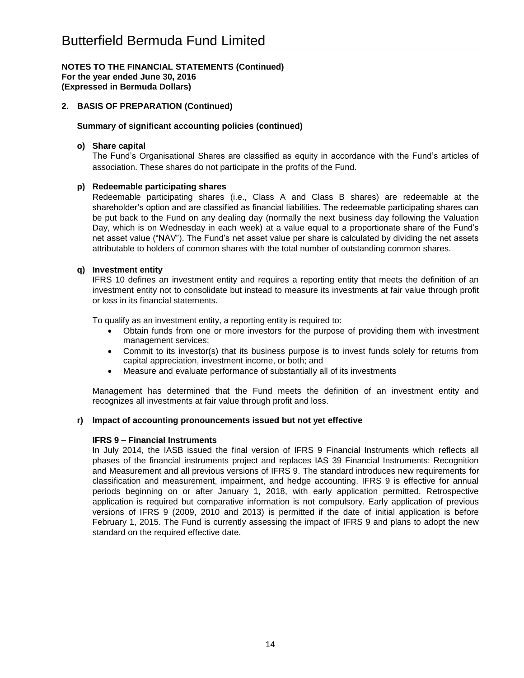#### **2. BASIS OF PREPARATION (Continued)**

#### **Summary of significant accounting policies (continued)**

#### **o) Share capital**

The Fund's Organisational Shares are classified as equity in accordance with the Fund's articles of association. These shares do not participate in the profits of the Fund.

#### **p) Redeemable participating shares**

Redeemable participating shares (i.e., Class A and Class B shares) are redeemable at the shareholder's option and are classified as financial liabilities. The redeemable participating shares can be put back to the Fund on any dealing day (normally the next business day following the Valuation Day, which is on Wednesday in each week) at a value equal to a proportionate share of the Fund's net asset value ("NAV"). The Fund's net asset value per share is calculated by dividing the net assets attributable to holders of common shares with the total number of outstanding common shares.

#### **q) Investment entity**

IFRS 10 defines an investment entity and requires a reporting entity that meets the definition of an investment entity not to consolidate but instead to measure its investments at fair value through profit or loss in its financial statements.

To qualify as an investment entity, a reporting entity is required to:

- Obtain funds from one or more investors for the purpose of providing them with investment management services;
- Commit to its investor(s) that its business purpose is to invest funds solely for returns from capital appreciation, investment income, or both; and
- Measure and evaluate performance of substantially all of its investments

Management has determined that the Fund meets the definition of an investment entity and recognizes all investments at fair value through profit and loss.

## **r) Impact of accounting pronouncements issued but not yet effective**

#### **IFRS 9 – Financial Instruments**

In July 2014, the IASB issued the final version of IFRS 9 Financial Instruments which reflects all phases of the financial instruments project and replaces IAS 39 Financial Instruments: Recognition and Measurement and all previous versions of IFRS 9. The standard introduces new requirements for classification and measurement, impairment, and hedge accounting. IFRS 9 is effective for annual periods beginning on or after January 1, 2018, with early application permitted. Retrospective application is required but comparative information is not compulsory. Early application of previous versions of IFRS 9 (2009, 2010 and 2013) is permitted if the date of initial application is before February 1, 2015. The Fund is currently assessing the impact of IFRS 9 and plans to adopt the new standard on the required effective date.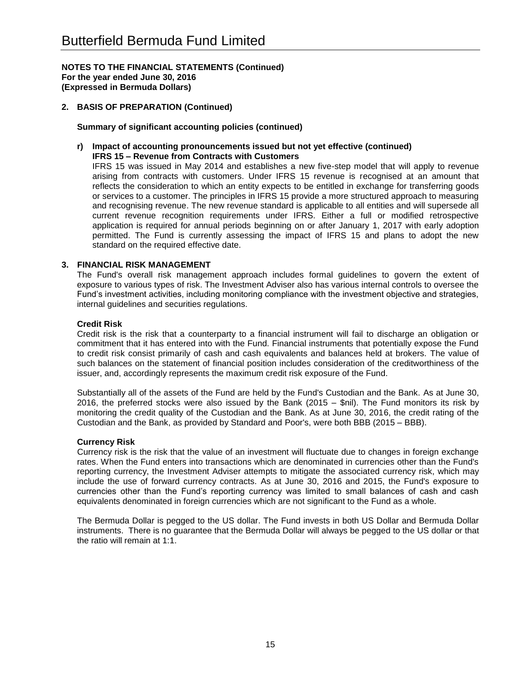**2. BASIS OF PREPARATION (Continued)**

**Summary of significant accounting policies (continued)**

**r) Impact of accounting pronouncements issued but not yet effective (continued) IFRS 15 – Revenue from Contracts with Customers** 

IFRS 15 was issued in May 2014 and establishes a new five-step model that will apply to revenue arising from contracts with customers. Under IFRS 15 revenue is recognised at an amount that reflects the consideration to which an entity expects to be entitled in exchange for transferring goods or services to a customer. The principles in IFRS 15 provide a more structured approach to measuring and recognising revenue. The new revenue standard is applicable to all entities and will supersede all current revenue recognition requirements under IFRS. Either a full or modified retrospective application is required for annual periods beginning on or after January 1, 2017 with early adoption permitted. The Fund is currently assessing the impact of IFRS 15 and plans to adopt the new standard on the required effective date.

#### **3. FINANCIAL RISK MANAGEMENT**

The Fund's overall risk management approach includes formal guidelines to govern the extent of exposure to various types of risk. The Investment Adviser also has various internal controls to oversee the Fund's investment activities, including monitoring compliance with the investment objective and strategies, internal guidelines and securities regulations.

#### **Credit Risk**

Credit risk is the risk that a counterparty to a financial instrument will fail to discharge an obligation or commitment that it has entered into with the Fund. Financial instruments that potentially expose the Fund to credit risk consist primarily of cash and cash equivalents and balances held at brokers. The value of such balances on the statement of financial position includes consideration of the creditworthiness of the issuer, and, accordingly represents the maximum credit risk exposure of the Fund.

Substantially all of the assets of the Fund are held by the Fund's Custodian and the Bank. As at June 30, 2016, the preferred stocks were also issued by the Bank (2015 – \$nil). The Fund monitors its risk by monitoring the credit quality of the Custodian and the Bank. As at June 30, 2016, the credit rating of the Custodian and the Bank, as provided by Standard and Poor's, were both BBB (2015 – BBB).

#### **Currency Risk**

Currency risk is the risk that the value of an investment will fluctuate due to changes in foreign exchange rates. When the Fund enters into transactions which are denominated in currencies other than the Fund's reporting currency, the Investment Adviser attempts to mitigate the associated currency risk, which may include the use of forward currency contracts. As at June 30, 2016 and 2015, the Fund's exposure to currencies other than the Fund's reporting currency was limited to small balances of cash and cash equivalents denominated in foreign currencies which are not significant to the Fund as a whole.

The Bermuda Dollar is pegged to the US dollar. The Fund invests in both US Dollar and Bermuda Dollar instruments. There is no guarantee that the Bermuda Dollar will always be pegged to the US dollar or that the ratio will remain at 1:1.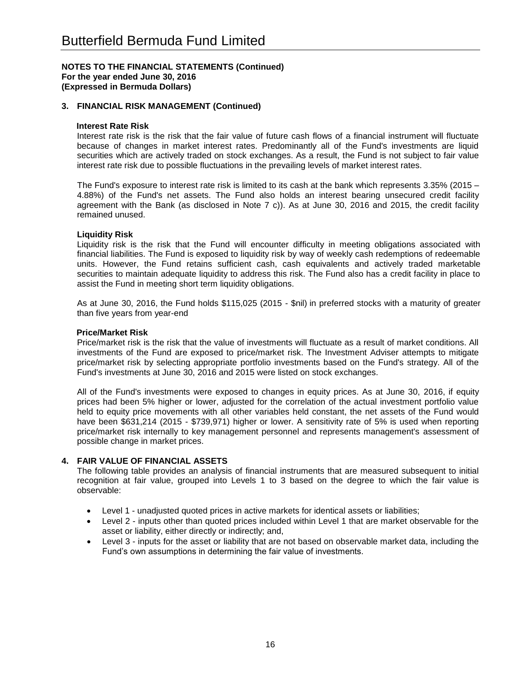#### **3. FINANCIAL RISK MANAGEMENT (Continued)**

#### **Interest Rate Risk**

Interest rate risk is the risk that the fair value of future cash flows of a financial instrument will fluctuate because of changes in market interest rates. Predominantly all of the Fund's investments are liquid securities which are actively traded on stock exchanges. As a result, the Fund is not subject to fair value interest rate risk due to possible fluctuations in the prevailing levels of market interest rates.

The Fund's exposure to interest rate risk is limited to its cash at the bank which represents 3.35% (2015 – 4.88%) of the Fund's net assets. The Fund also holds an interest bearing unsecured credit facility agreement with the Bank (as disclosed in Note 7 c)). As at June 30, 2016 and 2015, the credit facility remained unused.

#### **Liquidity Risk**

Liquidity risk is the risk that the Fund will encounter difficulty in meeting obligations associated with financial liabilities. The Fund is exposed to liquidity risk by way of weekly cash redemptions of redeemable units. However, the Fund retains sufficient cash, cash equivalents and actively traded marketable securities to maintain adequate liquidity to address this risk. The Fund also has a credit facility in place to assist the Fund in meeting short term liquidity obligations.

As at June 30, 2016, the Fund holds \$115,025 (2015 - \$nil) in preferred stocks with a maturity of greater than five years from year-end

#### **Price/Market Risk**

Price/market risk is the risk that the value of investments will fluctuate as a result of market conditions. All investments of the Fund are exposed to price/market risk. The Investment Adviser attempts to mitigate price/market risk by selecting appropriate portfolio investments based on the Fund's strategy. All of the Fund's investments at June 30, 2016 and 2015 were listed on stock exchanges.

All of the Fund's investments were exposed to changes in equity prices. As at June 30, 2016, if equity prices had been 5% higher or lower, adjusted for the correlation of the actual investment portfolio value held to equity price movements with all other variables held constant, the net assets of the Fund would have been \$631,214 (2015 - \$739,971) higher or lower. A sensitivity rate of 5% is used when reporting price/market risk internally to key management personnel and represents management's assessment of possible change in market prices.

#### **4. FAIR VALUE OF FINANCIAL ASSETS**

The following table provides an analysis of financial instruments that are measured subsequent to initial recognition at fair value, grouped into Levels 1 to 3 based on the degree to which the fair value is observable:

- Level 1 unadjusted quoted prices in active markets for identical assets or liabilities;
- Level 2 inputs other than quoted prices included within Level 1 that are market observable for the asset or liability, either directly or indirectly; and,
- Level 3 inputs for the asset or liability that are not based on observable market data, including the Fund's own assumptions in determining the fair value of investments.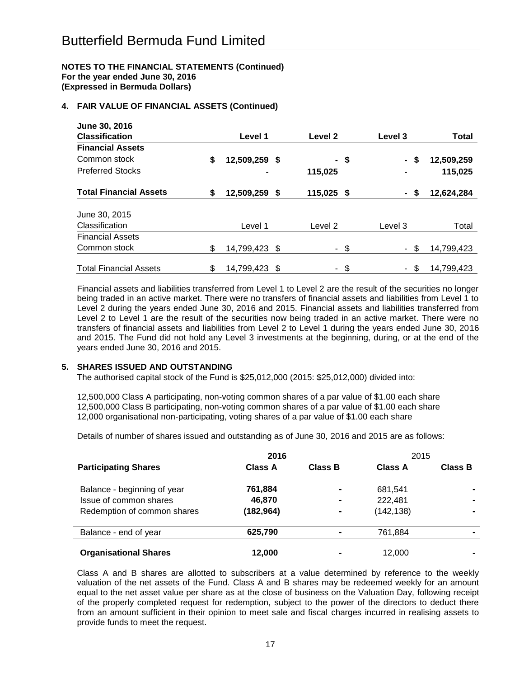## **4. FAIR VALUE OF FINANCIAL ASSETS (Continued)**

| June 30, 2016                 |                     |      |            |      |                |                  |
|-------------------------------|---------------------|------|------------|------|----------------|------------------|
| <b>Classification</b>         | Level 1             |      | Level 2    |      | Level 3        | Total            |
| <b>Financial Assets</b>       |                     |      |            |      |                |                  |
| Common stock                  | \$<br>12,509,259 \$ |      |            | - \$ | $\blacksquare$ | \$<br>12,509,259 |
| <b>Preferred Stocks</b>       | $\blacksquare$      |      | 115,025    |      |                | 115,025          |
| <b>Total Financial Assets</b> | \$<br>12,509,259    | - \$ | 115,025 \$ |      | - S            | 12,624,284       |
| June 30, 2015                 |                     |      |            |      |                |                  |
| Classification                | Level 1             |      | Level 2    |      | Level 3        | Total            |
| <b>Financial Assets</b>       |                     |      |            |      |                |                  |
| Common stock                  | \$<br>14,799,423    | - \$ |            | - \$ | - \$           | 14,799,423       |
| <b>Total Financial Assets</b> | \$<br>14,799,423    | -S   |            | - \$ | -S<br>۰.       | 14,799,423       |

Financial assets and liabilities transferred from Level 1 to Level 2 are the result of the securities no longer being traded in an active market. There were no transfers of financial assets and liabilities from Level 1 to Level 2 during the years ended June 30, 2016 and 2015. Financial assets and liabilities transferred from Level 2 to Level 1 are the result of the securities now being traded in an active market. There were no transfers of financial assets and liabilities from Level 2 to Level 1 during the years ended June 30, 2016 and 2015. The Fund did not hold any Level 3 investments at the beginning, during, or at the end of the years ended June 30, 2016 and 2015.

#### **5. SHARES ISSUED AND OUTSTANDING**

The authorised capital stock of the Fund is \$25,012,000 (2015: \$25,012,000) divided into:

12,500,000 Class A participating, non-voting common shares of a par value of \$1.00 each share 12,500,000 Class B participating, non-voting common shares of a par value of \$1.00 each share 12,000 organisational non-participating, voting shares of a par value of \$1.00 each share

Details of number of shares issued and outstanding as of June 30, 2016 and 2015 are as follows:

|                              | 2016       |                | 2015       |                |  |
|------------------------------|------------|----------------|------------|----------------|--|
| <b>Participating Shares</b>  | Class A    | <b>Class B</b> | Class A    | <b>Class B</b> |  |
| Balance - beginning of year  | 761,884    |                | 681,541    |                |  |
| Issue of common shares       | 46,870     |                | 222.481    |                |  |
| Redemption of common shares  | (182, 964) |                | (142, 138) |                |  |
| Balance - end of year        | 625,790    |                | 761,884    |                |  |
| <b>Organisational Shares</b> | 12.000     |                | 12.000     |                |  |

Class A and B shares are allotted to subscribers at a value determined by reference to the weekly valuation of the net assets of the Fund. Class A and B shares may be redeemed weekly for an amount equal to the net asset value per share as at the close of business on the Valuation Day, following receipt of the properly completed request for redemption, subject to the power of the directors to deduct there from an amount sufficient in their opinion to meet sale and fiscal charges incurred in realising assets to provide funds to meet the request.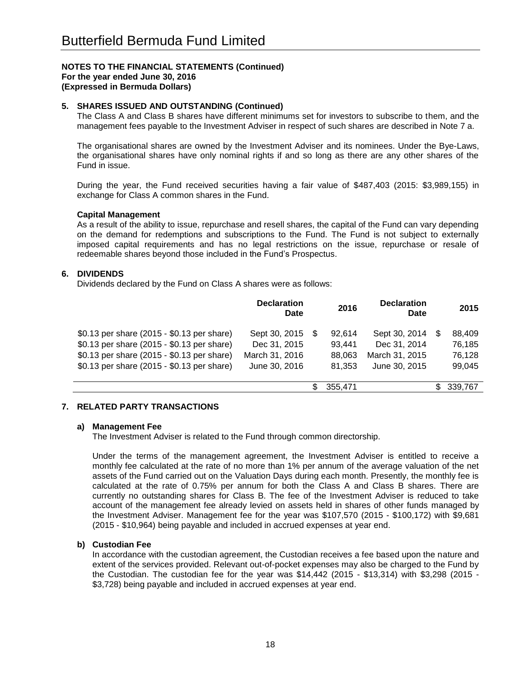#### **5. SHARES ISSUED AND OUTSTANDING (Continued)**

The Class A and Class B shares have different minimums set for investors to subscribe to them, and the management fees payable to the Investment Adviser in respect of such shares are described in Note 7 a.

The organisational shares are owned by the Investment Adviser and its nominees. Under the Bye-Laws, the organisational shares have only nominal rights if and so long as there are any other shares of the Fund in issue.

During the year, the Fund received securities having a fair value of \$487,403 (2015: \$3,989,155) in exchange for Class A common shares in the Fund.

#### **Capital Management**

As a result of the ability to issue, repurchase and resell shares, the capital of the Fund can vary depending on the demand for redemptions and subscriptions to the Fund. The Fund is not subject to externally imposed capital requirements and has no legal restrictions on the issue, repurchase or resale of redeemable shares beyond those included in the Fund's Prospectus.

#### **6. DIVIDENDS**

Dividends declared by the Fund on Class A shares were as follows:

|                                            | <b>Declaration</b><br><b>Date</b> | 2016    | <b>Declaration</b><br><b>Date</b> |     | 2015    |
|--------------------------------------------|-----------------------------------|---------|-----------------------------------|-----|---------|
| \$0.13 per share (2015 - \$0.13 per share) | Sept 30, 2015                     | 92.614  | Sept 30, 2014                     | \$. | 88,409  |
| \$0.13 per share (2015 - \$0.13 per share) | Dec 31, 2015                      | 93.441  | Dec 31, 2014                      |     | 76.185  |
| \$0.13 per share (2015 - \$0.13 per share) | March 31, 2016                    | 88,063  | March 31, 2015                    |     | 76,128  |
| \$0.13 per share (2015 - \$0.13 per share) | June 30, 2016                     | 81.353  | June 30, 2015                     |     | 99,045  |
|                                            |                                   |         |                                   |     |         |
|                                            |                                   | 355.471 |                                   | S.  | 339.767 |

## **7. RELATED PARTY TRANSACTIONS**

#### **a) Management Fee**

The Investment Adviser is related to the Fund through common directorship.

Under the terms of the management agreement, the Investment Adviser is entitled to receive a monthly fee calculated at the rate of no more than 1% per annum of the average valuation of the net assets of the Fund carried out on the Valuation Days during each month. Presently, the monthly fee is calculated at the rate of 0.75% per annum for both the Class A and Class B shares. There are currently no outstanding shares for Class B. The fee of the Investment Adviser is reduced to take account of the management fee already levied on assets held in shares of other funds managed by the Investment Adviser. Management fee for the year was \$107,570 (2015 - \$100,172) with \$9,681 (2015 - \$10,964) being payable and included in accrued expenses at year end.

#### **b) Custodian Fee**

In accordance with the custodian agreement, the Custodian receives a fee based upon the nature and extent of the services provided. Relevant out-of-pocket expenses may also be charged to the Fund by the Custodian. The custodian fee for the year was \$14,442 (2015 - \$13,314) with \$3,298 (2015 - \$3,728) being payable and included in accrued expenses at year end.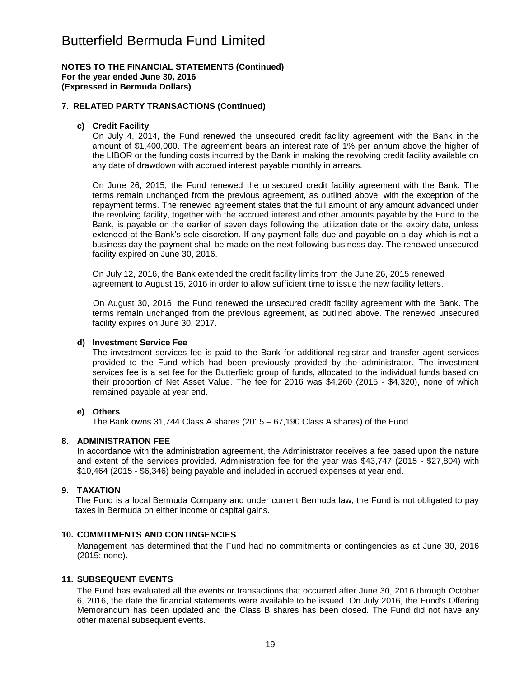#### **7. RELATED PARTY TRANSACTIONS (Continued)**

#### **c) Credit Facility**

On July 4, 2014, the Fund renewed the unsecured credit facility agreement with the Bank in the amount of \$1,400,000. The agreement bears an interest rate of 1% per annum above the higher of the LIBOR or the funding costs incurred by the Bank in making the revolving credit facility available on any date of drawdown with accrued interest payable monthly in arrears.

On June 26, 2015, the Fund renewed the unsecured credit facility agreement with the Bank. The terms remain unchanged from the previous agreement, as outlined above, with the exception of the repayment terms. The renewed agreement states that the full amount of any amount advanced under the revolving facility, together with the accrued interest and other amounts payable by the Fund to the Bank, is payable on the earlier of seven days following the utilization date or the expiry date, unless extended at the Bank's sole discretion. If any payment falls due and payable on a day which is not a business day the payment shall be made on the next following business day. The renewed unsecured facility expired on June 30, 2016.

On July 12, 2016, the Bank extended the credit facility limits from the June 26, 2015 renewed agreement to August 15, 2016 in order to allow sufficient time to issue the new facility letters.

On August 30, 2016, the Fund renewed the unsecured credit facility agreement with the Bank. The terms remain unchanged from the previous agreement, as outlined above. The renewed unsecured facility expires on June 30, 2017.

#### **d) Investment Service Fee**

The investment services fee is paid to the Bank for additional registrar and transfer agent services provided to the Fund which had been previously provided by the administrator. The investment services fee is a set fee for the Butterfield group of funds, allocated to the individual funds based on their proportion of Net Asset Value. The fee for 2016 was \$4,260 (2015 - \$4,320), none of which remained payable at year end.

#### **e) Others**

The Bank owns 31,744 Class A shares (2015 – 67,190 Class A shares) of the Fund.

#### **8. ADMINISTRATION FEE**

In accordance with the administration agreement, the Administrator receives a fee based upon the nature and extent of the services provided. Administration fee for the year was \$43,747 (2015 - \$27,804) with \$10,464 (2015 - \$6,346) being payable and included in accrued expenses at year end.

#### **9. TAXATION**

The Fund is a local Bermuda Company and under current Bermuda law, the Fund is not obligated to pay taxes in Bermuda on either income or capital gains.

#### **10. COMMITMENTS AND CONTINGENCIES**

Management has determined that the Fund had no commitments or contingencies as at June 30, 2016 (2015: none).

#### **11. SUBSEQUENT EVENTS**

The Fund has evaluated all the events or transactions that occurred after June 30, 2016 through October 6, 2016, the date the financial statements were available to be issued. On July 2016, the Fund's Offering Memorandum has been updated and the Class B shares has been closed. The Fund did not have any other material subsequent events.